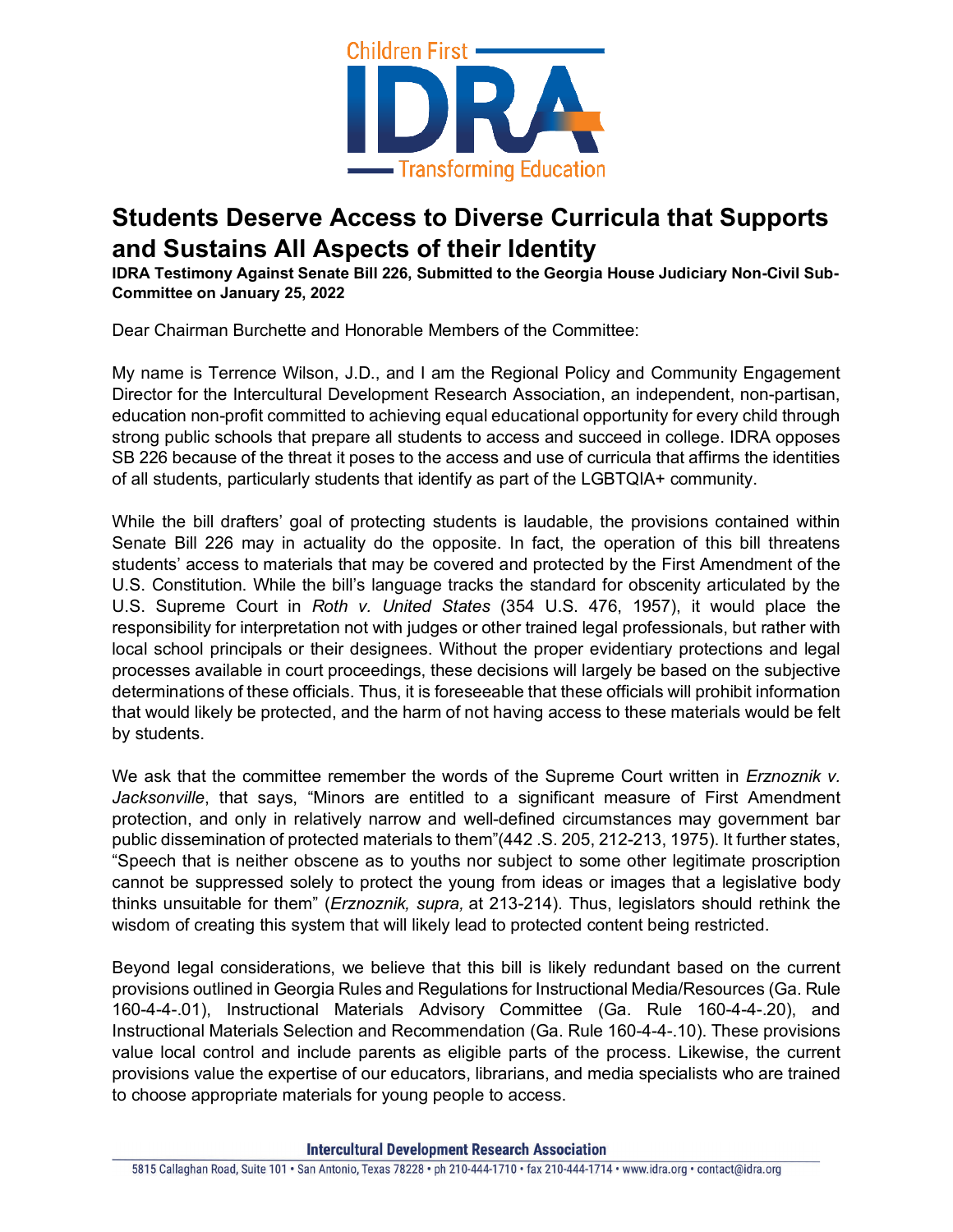

## **Students Deserve Access to Diverse Curricula that Supports and Sustains All Aspects of their Identity**

**IDRA Testimony Against Senate Bill 226, Submitted to the Georgia House Judiciary Non-Civil Sub-Committee on January 25, 2022**

Dear Chairman Burchette and Honorable Members of the Committee:

My name is Terrence Wilson, J.D., and I am the Regional Policy and Community Engagement Director for the Intercultural Development Research Association, an independent, non-partisan, education non-profit committed to achieving equal educational opportunity for every child through strong public schools that prepare all students to access and succeed in college. IDRA opposes SB 226 because of the threat it poses to the access and use of curricula that affirms the identities of all students, particularly students that identify as part of the LGBTQIA+ community.

While the bill drafters' goal of protecting students is laudable, the provisions contained within Senate Bill 226 may in actuality do the opposite. In fact, the operation of this bill threatens students' access to materials that may be covered and protected by the First Amendment of the U.S. Constitution. While the bill's language tracks the standard for obscenity articulated by the U.S. Supreme Court in *Roth v. United States* (354 U.S. 476, 1957), it would place the responsibility for interpretation not with judges or other trained legal professionals, but rather with local school principals or their designees. Without the proper evidentiary protections and legal processes available in court proceedings, these decisions will largely be based on the subjective determinations of these officials. Thus, it is foreseeable that these officials will prohibit information that would likely be protected, and the harm of not having access to these materials would be felt by students.

We ask that the committee remember the words of the Supreme Court written in *Erznoznik v. Jacksonville*, that says, "Minors are entitled to a significant measure of First Amendment protection, and only in relatively narrow and well-defined circumstances may government bar public dissemination of protected materials to them"(442 .S. 205, 212-213, 1975). It further states, "Speech that is neither obscene as to youths nor subject to some other legitimate proscription cannot be suppressed solely to protect the young from ideas or images that a legislative body thinks unsuitable for them" (*Erznoznik, supra,* at 213-214). Thus, legislators should rethink the wisdom of creating this system that will likely lead to protected content being restricted.

Beyond legal considerations, we believe that this bill is likely redundant based on the current provisions outlined in Georgia Rules and Regulations for Instructional Media/Resources (Ga. Rule 160-4-4-.01), Instructional Materials Advisory Committee (Ga. Rule 160-4-4-.20), and Instructional Materials Selection and Recommendation (Ga. Rule 160-4-4-.10). These provisions value local control and include parents as eligible parts of the process. Likewise, the current provisions value the expertise of our educators, librarians, and media specialists who are trained to choose appropriate materials for young people to access.

**Intercultural Development Research Association**